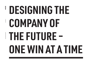# **DESIGNING THE COMPANY OF THE FUTURE ‒ ONE WIN AT A TIME**

HA-AGENCY.COM

BUSINESS DESIGN CONSULTANCY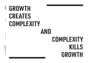### **AND GROWTH CREATES COMPLEXITY**

# **COMPLEXITY KILLS GROWTH**

 $\mathbf{0}$ 

HA-AGENCY.COM HA-AGENCY.COM

SUSINESS DESIGN CONSULTANCY BUSINESS DESIGN CONSULTANCY

DESIGNING THE COMPANY OF THE FUTURE<br>One win at a time **ONE WIN AT A TIME DESIGNING THE COMPANY OF THE FUTURE -**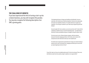### **THE CHALLENGE OF GROWTH**

If you have experienced the thrill of turning a start-up into a mature business, you may well recognise this paradox. You may also recognise the following description of an SME's growing pains:

*"In the beginning the pace of change was breathless and exhilarating. You were a small team, with a shared sense of belief and optimism. Decisions were made quickly and results were immediate and obvious. Your agility allowed you to outpace your competitors. You left larger incumbents in your wake and you enjoyed the growth that followed.*

*Success brought with it more customers, new services and more staff. To deal with this complexity you added structure to control the developing chaos - new departments, a hierarchy to create accountability and layers of managers to keep the troops in check.*

*This order came at a price: Distance between managers, staff and customers; bureaucratic decisions stopping good ideas in their tracks; and an erosion of the entrepreneurial culture that had once been your most valuable asset.*

*The relative lack of responsiveness opened the door to hungry new entrants looking to steal your lunch. And in a fast-paced, ever-changing environment you're now worried you may be beginning to look out of touch."*

If any of this rings true, then you've probably asked yourself: So how do we keep up? How can we both defend our patch and move quickly enough to capitalise on new opportunities?

**H**<br>W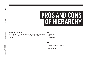### **PROS AND CONS OF HIERARCHY**

### **PROS AND CONS OF HIERARCHY**

Hierarchy in business isn't inherently a bad thing. Traditional hierarchical systems and managerial processes address the daily demands of delivering consistently to customers. But they do have drawbacks:

### **Pros**

- Increased control
- Reduced risk
- Greater accountability
- Services delivered to agreed standards

### **Cons**

- Silo'd ways of working
- Increased internal politics and self interest
- Increased aversion to risk
- Resistance to change

**H**<br>W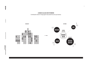





H<br>V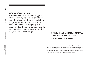### **A ROADMAP TO DRIVE GROWTH**

First, let's emphasise that we are not suggesting you get rid of the hierarchy in your business. Instead, we believe you should create a new, complementary system that cuts through the problems that this hierarchy creates. Our proposal is not a massive overarching change initiative. Instead, it is a straightforward, practical way of working that takes a project-by-project approach to the delivery of longterm growth. It will do three vital things: **1. CREATE THE RIGHT ENVIRONMENT FOR CHANGE**

### **2. BUILD THE PLATFORM FOR CHANGE 3. MAKE CHANGE THE NEW NORM**

We advocate combining a design-led, agile way of working with an enthusiastic network of 'change agents' hand-picked from across your business. Because it works within your existing systems, our approach doesn't involve the wholesale disruption of your organisation. Instead, it draws from your existing talent pool and makes use of the different perspectives of your entire team. It will unleash the latent enthusiasm of all of your staff, bringing them along on the journey.

**H**<br>W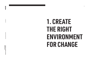DESIGNING THE COMPANY OF THE FUTURE<br>ONE WIN AT A TIME **ONE WIN AT A TIME DESIGNING THE COMPANY OF THE FUTURE -** 

BUSINESS DESIGN CONSULTANCY BUSINESS DESIGN CONSULTANCY

### **1. CREATE THE RIGHT ENVIRONMENT FOR CHANGE**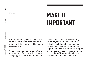All too often companies try to instigate change without establishing a shared understanding of why it needs to happen. Skip this stage at your peril. Cynicism and apathy are your enemies here.

As a leader you need to convince everyone that there is an urgent need to act. The best way to do this is to identify the single biggest threat and/or opportunity facing your

business. Then clearly express the rewards of dealing with this issue, along with the consequences of failure. The threat or opportunity must be big enough so that all strategic changes can be aligned around it. It must be compelling enough to sustain and motivate staff through the work that lies ahead. Remember, if the urgency is not there, then everything that follows could be lost to indifference and drowned out by the clamour of other priorities.

# STEP ONE **MAKE IT IMPORTANT**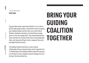BUSINESS DESIGN CONSULTANCY

BUSINESS DESIGN CONSULTANC

Any good idea needs a good team behind it, so it is vital to get the right people in place. Armed with a sense of urgency your Guiding Coalition will be at the core of your efforts. Members should be volunteers, but should have enough power to drive the change effort. They should demonstrate clear motivation for the job at hand, have strong leadership skills, and represent all layer of your company's hierarchy and departmental structure.

The Guiding Coalition must have a close working relationship with your executive team, but be separate from it. Membership of the Guiding Coalition means that a person is at the heart of your company's growth strategy, but not at the top of its hierarchical tree.

### STEP TWO **BRING YOUR GUIDING COALITION TOGETHER**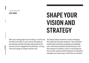**H**<br>V

When you're asking people to do new things, it is vital to win their hearts and minds. As said, cynicism and apathy are big challenges and financial targets seldom generate the necessary levels of engagement and enthusiasm. A strong vision and strategy for change is therefore vital.

### STEP THREE<br>
SHAPE YOUR **VISION AND STRATEGY**

The Guiding Coalition should have a hand in developing these important touchstone statements. These statements should be both emotionally compelling and strategically smart, whilst being memorable and distinctly yours. How these elements are drafted is critical: too much detail and they can stifle creativity and kill enthusiasm; too little detail and people won't see the ways in which they can contribute.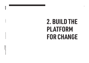DESIGNING THE COMPANY OF THE FUTURE-<br>ONE WIN AT A TIME **ONE WIN AT A TIME DESIGNING THE COMPANY OF THE FUTURE -** 

BUSINESS DESIGN CONSULTANCY BUSINESS DESIGN CONSULTANCY

### HA-AGENCY.COM HA-AGENCY.COM

**H**<br>V

09

**2. BUILD THE** 

**FOR CHANGE**

**PLATFORM**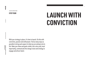# STEP FOUR<br> **LAUNCH WITH CONVICTION**

HA-AGENCY.COM

HA-AGENCY.COM

**H**<br>W

With your strategy in place, it's time to launch. Do this with conviction, passion and enthusiasm. Find as many ways as possible to bring each aspect of what you are aiming to do to life. Make your ideas and goals visible, tell a story and, most importantly, communicate the change vision and strategy to engage and attract talent.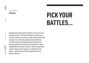### STEP FIVE **PICK YOUR BATTLES...**

BUSINESS DESIGN CONSULTANC BUSINESS DESIGN CONSULTANCY

HA-AGENCY.COM

HA-AGENCY.COM

H<br>W

Identifying the right projects to initiate is a key role for the Guiding Coalition. The important thing is to achieve early success, so make sure you pick a project which is both small enough to win, and yet big enough to make a difference. It should respond to emerging customer demands and have the potential to generate the new business or make a tangible difference to your customer. Careful consideration needs to be given to the revenue, cost and bottom-line impact – and who from within the organisation is best placed to deliver it.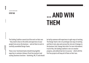DESIGNING THE COMPANY OF THE FUTURE<br>One win at a time **ONE WIN AT A TIME DESIGNING THE COMPANY OF THE FUTURE -** 

The Guiding Coalition cannot do all the work on their own – they need to draw on the skills and experience of your people from across the business – and set them to work in carefully assembled Design Teams.

These cross-functional teams should bring together expertise in customer intimacy (front line workers) and scaling (business functions - marketing, HR, IT) and should be led by someone with experience in agile ways of working. The Design Team's role is to prototype new ways of working and then to test, plan and oversee the role out of changes to the business (see 'change that sticks' for more information). In all of this, the Guiding Coalition's role is to monitor progress, and unblock barriers to success – which with the first few projects will keep all of them on their toes.

STEP SIX<br>**Example 2 ... AND WIN THEM**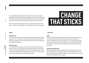Each project initiated should be a microcosm of the change you want to see in your business – people working with shared endeavour to bring change at pace. To ensure maximum flexibility and responsiveness, your Design Teams should comfortable with agile ways of working. They should meet weekly to review progress and monthly to discuss progress with the Guiding Coalition.

The aim of each project is to effect 'change that sticks' – driving the business towards a better future, in a way that will be widely adopted – with each stage of the project set up to achieve this:

### **CHANGE THAT STICKS**

### **CHANGE…**

### **Confirm the brief**

The first job for the Design Team is to check the assumptions and decisions made by the Guiding Coalition are correct. They need to be certain that the project brief makes sense, they have the skills and resources required to execute successfully, and that the project goals are aligned with the strategic aims of the business.

### **Build the prototype**

To move forward fast the Design Team needs to identify what constitutes the Minimum Viable Product for testing - and how they can get it to market as quickly as possible. The team need to work out how they will gather feedback to allow them to start learning and improving. They also need to work out at what point they will accept if the project is a dud or not. Cutting losses early to prevent expensive mistakes later is a key benefit of using prototypes.

### **…THAT STICKS**

### **Deploy**

Once there is confidence that the prototype has worked, it needs to be rolled out to the business. The Design Team need to be clear from the outset about the problems that will need to be overcome to integrate with existing systems and processes – as we as the change in behaviours required to adopt this new way of working. The design team need a clear idea of the teams they need to engage, the expertise they will need to pull upon, and the resources required to deploy successfully.

### **Develop the repeatable model**

When the project has been successfully deployed, and in order to fully maximise the potential value of the work carried out, the design team need to ask: Who else will benefit from our work? How can we apply this way of working to new segments or areas of our business? How can we help make this way of working the norm for our people?

H<br>V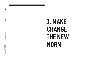DESIGNING THE COMPANY OF THE FUTURE -<br>One win at a time **ONE WIN AT A TIME DESIGNING THE COMPANY OF THE FUTURE -** 

BUSINESS DESIGN CONSULTANCY BUSINESS DESIGN CONSULTANCY

**H**<br>V

14

## **3. MAKE CHANGE THE NEW NORM**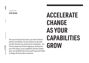Once you've had your first success, you need to add more projects incrementally. The more projects you get under your belt, the better you will become at running them – and the more people you will have stepping up, wanting to be part of the change. As your capabilities and team numbers grow, your bandwidth will increase and the pace and rhythm of change will also be able to accelerate.

### STEP SEVEN<br> **ACCELERATE CHANGE AS YOUR CAPABILITIES GROW**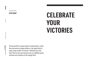The key benefit to a large number of small projects, rather than one massive change initiative, is the opportunity to enjoy a large number of victories. Celebrate your wins, share them across your business and, as credibility grows, welcome new volunteers to the change effort.

### **STEP EIGHT CELEBRATE YOUR VICTORIES**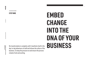No transformation is complete until it manifests itself in the day-to-day behaviours of staff and infuses the culture of the **BUSINESS** business. So keep the pressure on and ensure the process remains fresh and exciting.

# STEP NINE **EMBED CHANGE INTO THE DNA OF YOUR**